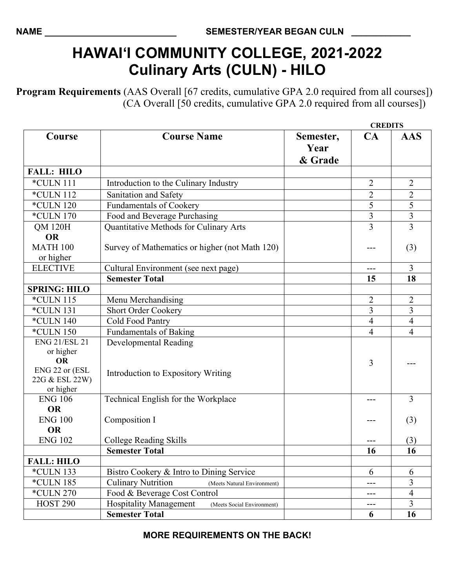## **HAWAI'I COMMUNITY COLLEGE, 2021-2022 Culinary Arts (CULN) - HILO**

**Program Requirements** (AAS Overall [67 credits, cumulative GPA 2.0 required from all courses]) (CA Overall [50 credits, cumulative GPA 2.0 required from all courses])

|                                  |                                                             |                              |                | <b>CREDITS</b> |  |
|----------------------------------|-------------------------------------------------------------|------------------------------|----------------|----------------|--|
| Course                           | <b>Course Name</b>                                          | Semester,<br>Year<br>& Grade | CA             | <b>AAS</b>     |  |
| <b>FALL: HILO</b>                |                                                             |                              |                |                |  |
| *CULN 111                        | Introduction to the Culinary Industry                       |                              | $\overline{2}$ | $\overline{2}$ |  |
| *CULN 112                        | Sanitation and Safety                                       |                              | $\overline{2}$ | $\mathbf{2}$   |  |
| <b>*CULN 120</b>                 | <b>Fundamentals of Cookery</b>                              |                              | 5              | 5              |  |
| <i>*CULN 170</i>                 | Food and Beverage Purchasing                                |                              | $\overline{3}$ | $\overline{3}$ |  |
| <b>QM 120H</b>                   | Quantitative Methods for Culinary Arts                      |                              | 3              | $\overline{3}$ |  |
| <b>OR</b>                        |                                                             |                              |                |                |  |
| <b>MATH 100</b>                  | Survey of Mathematics or higher (not Math 120)              |                              |                | (3)            |  |
| or higher                        |                                                             |                              |                |                |  |
| <b>ELECTIVE</b>                  | Cultural Environment (see next page)                        |                              | ---            | $\overline{3}$ |  |
|                                  | <b>Semester Total</b>                                       |                              | 15             | 18             |  |
| <b>SPRING: HILO</b>              |                                                             |                              |                |                |  |
| *CULN 115                        | Menu Merchandising                                          |                              | $\overline{2}$ | $\overline{2}$ |  |
| *CULN 131                        | <b>Short Order Cookery</b>                                  |                              | $\overline{3}$ | $\overline{3}$ |  |
| <b>*CULN 140</b>                 | Cold Food Pantry                                            |                              | $\overline{4}$ | $\overline{4}$ |  |
| <i>*CULN 150</i>                 | <b>Fundamentals of Baking</b>                               |                              | 4              | $\overline{4}$ |  |
| <b>ENG 21/ESL 21</b>             | Developmental Reading                                       |                              |                |                |  |
| or higher<br><b>OR</b>           |                                                             |                              | 3              |                |  |
| ENG 22 or (ESL<br>22G & ESL 22W) | Introduction to Expository Writing                          |                              |                |                |  |
| or higher                        |                                                             |                              |                |                |  |
| <b>ENG 106</b>                   | Technical English for the Workplace                         |                              | ---            | $\overline{3}$ |  |
| <b>OR</b>                        |                                                             |                              |                |                |  |
| <b>ENG 100</b>                   | Composition I                                               |                              |                | (3)            |  |
| <b>OR</b>                        |                                                             |                              |                |                |  |
| <b>ENG 102</b>                   | College Reading Skills                                      |                              |                | (3)            |  |
|                                  | <b>Semester Total</b>                                       |                              | <b>16</b>      | 16             |  |
| <b>FALL: HILO</b>                |                                                             |                              |                |                |  |
| <i>*CULN 133</i>                 | Bistro Cookery & Intro to Dining Service                    |                              | 6              | 6              |  |
| <b>*CULN 185</b>                 | <b>Culinary Nutrition</b><br>(Meets Natural Environment)    |                              | ---            | $\overline{3}$ |  |
| *CULN 270                        | Food & Beverage Cost Control                                |                              | $---$          | $\overline{4}$ |  |
| <b>HOST 290</b>                  | <b>Hospitality Management</b><br>(Meets Social Environment) |                              | ---            | 3              |  |
|                                  | <b>Semester Total</b>                                       |                              | 6              | 16             |  |

**MORE REQUIREMENTS ON THE BACK!**